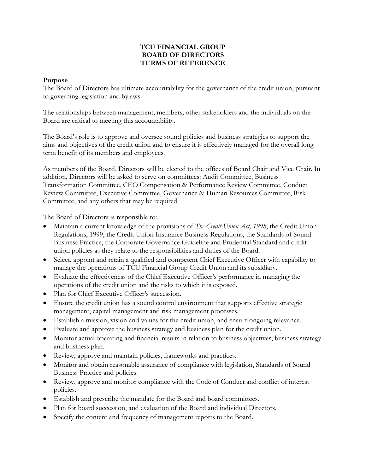# **TCU FINANCIAL GROUP BOARD OF DIRECTORS TERMS OF REFERENCE**

#### **Purpose**

The Board of Directors has ultimate accountability for the governance of the credit union, pursuant to governing legislation and bylaws.

The relationships between management, members, other stakeholders and the individuals on the Board are critical to meeting this accountability.

The Board's role is to approve and oversee sound policies and business strategies to support the aims and objectives of the credit union and to ensure it is effectively managed for the overall long term benefit of its members and employees.

As members of the Board, Directors will be elected to the offices of Board Chair and Vice Chair. In addition, Directors will be asked to serve on committees: Audit Committee, Business Transformation Committee, CEO Compensation & Performance Review Committee, Conduct Review Committee, Executive Committee, Governance & Human Resources Committee, Risk Committee, and any others that may be required.

The Board of Directors is responsible to:

- Maintain a current knowledge of the provisions of *The Credit Union Act, 1998*, the Credit Union Regulations, 1999, the Credit Union Insurance Business Regulations, the Standards of Sound Business Practice, the Corporate Governance Guideline and Prudential Standard and credit union policies as they relate to the responsibilities and duties of the Board.
- Select, appoint and retain a qualified and competent Chief Executive Officer with capability to manage the operations of TCU Financial Group Credit Union and its subsidiary.
- Evaluate the effectiveness of the Chief Executive Officer's performance in managing the operations of the credit union and the risks to which it is exposed.
- Plan for Chief Executive Officer's succession.
- Ensure the credit union has a sound control environment that supports effective strategic management, capital management and risk management processes.
- Establish a mission, vision and values for the credit union, and ensure ongoing relevance.
- Evaluate and approve the business strategy and business plan for the credit union.
- Monitor actual operating and financial results in relation to business objectives, business strategy and business plan.
- Review, approve and maintain policies, frameworks and practices.
- Monitor and obtain reasonable assurance of compliance with legislation, Standards of Sound Business Practice and policies.
- Review, approve and monitor compliance with the Code of Conduct and conflict of interest policies.
- Establish and prescribe the mandate for the Board and board committees.
- Plan for board succession, and evaluation of the Board and individual Directors.
- Specify the content and frequency of management reports to the Board.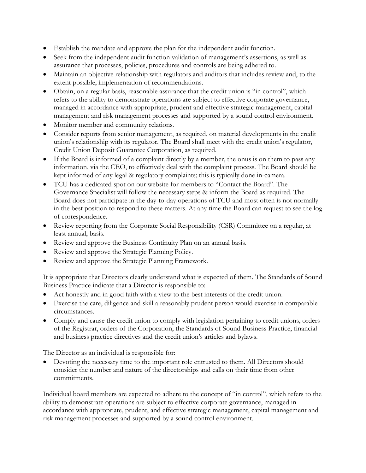- Establish the mandate and approve the plan for the independent audit function.
- Seek from the independent audit function validation of management's assertions, as well as assurance that processes, policies, procedures and controls are being adhered to.
- Maintain an objective relationship with regulators and auditors that includes review and, to the extent possible, implementation of recommendations.
- Obtain, on a regular basis, reasonable assurance that the credit union is "in control", which refers to the ability to demonstrate operations are subject to effective corporate governance, managed in accordance with appropriate, prudent and effective strategic management, capital management and risk management processes and supported by a sound control environment.
- Monitor member and community relations.
- Consider reports from senior management, as required, on material developments in the credit union's relationship with its regulator. The Board shall meet with the credit union's regulator, Credit Union Deposit Guarantee Corporation, as required.
- If the Board is informed of a complaint directly by a member, the onus is on them to pass any information, via the CEO, to effectively deal with the complaint process. The Board should be kept informed of any legal & regulatory complaints; this is typically done in-camera.
- TCU has a dedicated spot on our website for members to "Contact the Board". The Governance Specialist will follow the necessary steps & inform the Board as required. The Board does not participate in the day-to-day operations of TCU and most often is not normally in the best position to respond to these matters. At any time the Board can request to see the log of correspondence.
- Review reporting from the Corporate Social Responsibility (CSR) Committee on a regular, at least annual, basis.
- Review and approve the Business Continuity Plan on an annual basis.
- Review and approve the Strategic Planning Policy.
- Review and approve the Strategic Planning Framework.

It is appropriate that Directors clearly understand what is expected of them. The Standards of Sound Business Practice indicate that a Director is responsible to:

- Act honestly and in good faith with a view to the best interests of the credit union.
- Exercise the care, diligence and skill a reasonably prudent person would exercise in comparable circumstances.
- Comply and cause the credit union to comply with legislation pertaining to credit unions, orders of the Registrar, orders of the Corporation, the Standards of Sound Business Practice, financial and business practice directives and the credit union's articles and bylaws.

The Director as an individual is responsible for:

• Devoting the necessary time to the important role entrusted to them. All Directors should consider the number and nature of the directorships and calls on their time from other commitments.

Individual board members are expected to adhere to the concept of "in control", which refers to the ability to demonstrate operations are subject to effective corporate governance, managed in accordance with appropriate, prudent, and effective strategic management, capital management and risk management processes and supported by a sound control environment.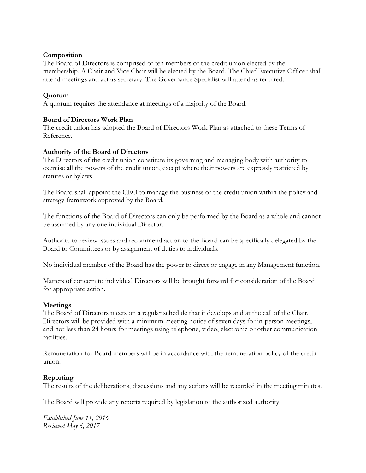## **Composition**

The Board of Directors is comprised of ten members of the credit union elected by the membership. A Chair and Vice Chair will be elected by the Board. The Chief Executive Officer shall attend meetings and act as secretary. The Governance Specialist will attend as required.

# **Quorum**

A quorum requires the attendance at meetings of a majority of the Board.

## **Board of Directors Work Plan**

The credit union has adopted the Board of Directors Work Plan as attached to these Terms of Reference.

#### **Authority of the Board of Directors**

The Directors of the credit union constitute its governing and managing body with authority to exercise all the powers of the credit union, except where their powers are expressly restricted by statutes or bylaws.

The Board shall appoint the CEO to manage the business of the credit union within the policy and strategy framework approved by the Board.

The functions of the Board of Directors can only be performed by the Board as a whole and cannot be assumed by any one individual Director.

Authority to review issues and recommend action to the Board can be specifically delegated by the Board to Committees or by assignment of duties to individuals.

No individual member of the Board has the power to direct or engage in any Management function.

Matters of concern to individual Directors will be brought forward for consideration of the Board for appropriate action.

## **Meetings**

The Board of Directors meets on a regular schedule that it develops and at the call of the Chair. Directors will be provided with a minimum meeting notice of seven days for in-person meetings, and not less than 24 hours for meetings using telephone, video, electronic or other communication facilities.

Remuneration for Board members will be in accordance with the remuneration policy of the credit union.

#### **Reporting**

The results of the deliberations, discussions and any actions will be recorded in the meeting minutes.

The Board will provide any reports required by legislation to the authorized authority.

*Established June 11, 2016 Reviewed May 6, 2017*